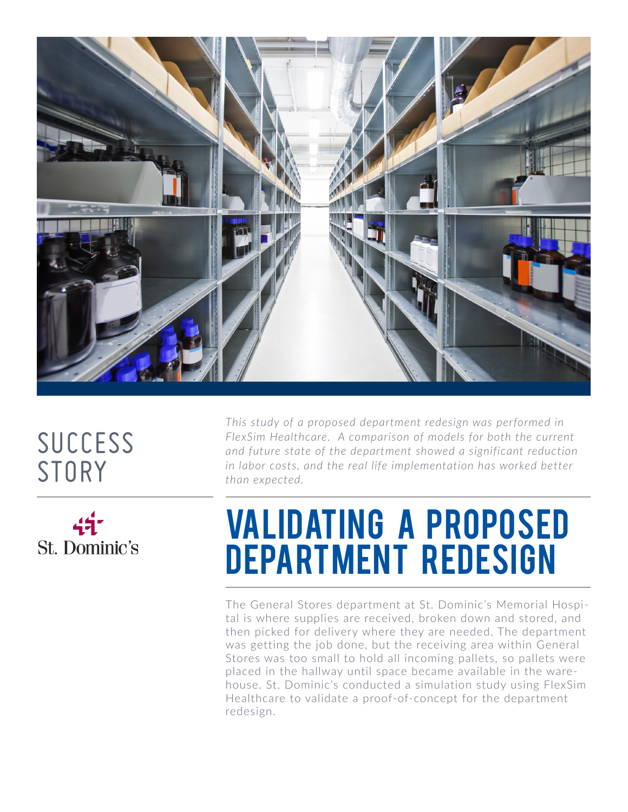

## SUCCESS **STORY**



*This study of a proposed department redesign was performed in FlexSim Healthcare. A comparison of models for both the current and future state of the department showed a significant reduction in labor costs, and the real life implementation has worked better than expected.*

## **VALIDATING A PROPOSED** DEPARTMENT REDESIGN

The General Stores department at St. Dominic's Memorial Hospital is where supplies are received, broken down and stored, and then picked for delivery where they are needed. The department was getting the job done, but the receiving area within General Stores was too small to hold all incoming pallets, so pallets were placed in the hallway until space became available in the warehouse. St. Dominic's conducted a simulation study using FlexSim Healthcare to validate a proof-of-concept for the department redesign.